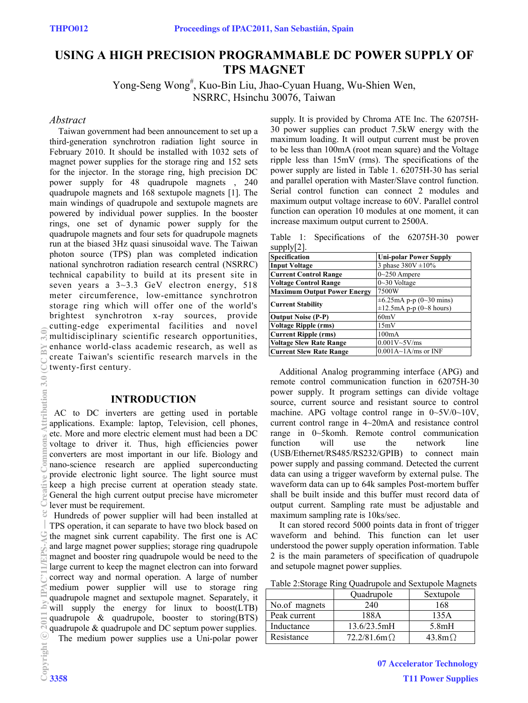# **USING A HIGH PRECISION PROGRAMMABLE DC POWER SUPPLY OF TPS MAGNET**

Yong-Seng Wong<sup>#</sup>, Kuo-Bin Liu, Jhao-Cyuan Huang, Wu-Shien Wen, NSRRC, Hsinchu 30076, Taiwan

## *Abstract*

Taiwan government had been announcement to set up a third-generation synchrotron radiation light source in February 2010. It should be installed with 1032 sets of magnet power supplies for the storage ring and 152 sets for the injector. In the storage ring, high precision DC power supply for 48 quadrupole magnets , 240 quadrupole magnets and 168 sextupole magnets [1]. The main windings of quadrupole and sextupole magnets are powered by individual power supplies. In the booster rings, one set of dynamic power supply for the quadrupole magnets and four sets for quadrupole magnets run at the biased 3Hz quasi sinusoidal wave. The Taiwan photon source (TPS) plan was completed indication national synchrotron radiation research central (NSRRC) technical capability to build at its present site in seven years a  $3-3.3$  GeV electron energy, 518 meter circumference, low-emittance synchrotron storage ring which will offer one of the world's brightest synchrotron x-ray sources, provide cutting-edge experimental facilities and novel multidisciplinary scientific research opportunities, enhance world-class academic research, as well as create Taiwan's scientific research marvels in the twenty-first century.

#### **INTRODUCTION**

 AC to DC inverters are getting used in portable applications. Example: laptop, Television, cell phones, etc. More and more electric element must had been a DC voltage to driver it. Thus, high efficiencies power converters are most important in our life. Biology and nano-science research are applied superconducting provide electronic light source. The light source must keep a high precise current at operation steady state. General the high current output precise have micrometer lever must be requirement.

Hundreds of power supplier will had been installed at TPS operation, it can separate to have two block based on the magnet sink current capability. The first one is AC and large magnet power supplies; storage ring quadrupole magnet and booster ring quadrupole would be need to the large current to keep the magnet electron can into forward correct way and normal operation. A large of number medium power supplier will use to storage ring quadrupole magnet and sextupole magnet. Separately, it will supply the energy for linux to boost(LTB) quadrupole & quadrupole, booster to storing(BTS) quadrupole & quadrupole and DC septum power supplies. The medium power supplies use a Uni-polar power

supply. It is provided by Chroma ATE Inc. The 62075H-30 power supplies can product 7.5kW energy with the maximum loading. It will output current must be proven to be less than 100mA (root mean square) and the Voltage ripple less than 15mV (rms). The specifications of the power supply are listed in Table 1. 62075H-30 has serial and parallel operation with Master/Slave control function. Serial control function can connect 2 modules and maximum output voltage increase to 60V. Parallel control function can operation 10 modules at one moment, it can increase maximum output current to 2500A.

Table 1: Specifications of the 62075H-30 power supply[2].

| Specification                      | <b>Uni-polar Power Supply</b>        |
|------------------------------------|--------------------------------------|
| <b>Input Voltage</b>               | 3 phase $380V \pm 10\%$              |
| <b>Current Control Range</b>       | $0\sim250$ Ampere                    |
| <b>Voltage Control Range</b>       | $0 - 30$ Voltage                     |
| <b>Maximum Output Power Energy</b> | 7500W                                |
| <b>Current Stability</b>           | $\pm 6.25 \text{mA}$ p-p (0~30 mins) |
|                                    | $\pm 12.5$ mA p-p (0~8 hours)        |
| <b>Output Noise (P-P)</b>          | 60mV                                 |
| <b>Voltage Ripple (rms)</b>        | 15mV                                 |
| <b>Current Ripple (rms)</b>        | 100mA                                |
| <b>Voltage Slew Rate Range</b>     | $0.001V - 5V/ms$                     |
| <b>Current Slew Rate Range</b>     | $0.001A \sim 1A/ms$ or INF           |

Additional Analog programming interface (APG) and remote control communication function in 62075H-30 power supply. It program settings can divide voltage source, current source and resistant source to control machine. APG voltage control range in 0~5V/0~10V, current control range in 4~20mA and resistance control range in 0~5komh. Remote control communication function will use the network line (USB/Ethernet/RS485/RS232/GPIB) to connect main power supply and passing command. Detected the current data can using a trigger waveform by external pulse. The waveform data can up to 64k samples Post-mortem buffer shall be built inside and this buffer must record data of output current. Sampling rate must be adjustable and maximum sampling rate is 10ks/sec.

It can stored record 5000 points data in front of trigger waveform and behind. This function can let user understood the power supply operation information. Table 2 is the main parameters of specification of quadrupole and setupole magnet power supplies.

|               | Quadrupole             | Sextupole          |
|---------------|------------------------|--------------------|
| No.of magnets | 240                    | 168                |
| Peak current  | 188A                   | 135A               |
| Inductance    | 13.6/23.5mH            | 5.8mH              |
| Resistance    | $72.2/81.6$ m $\Omega$ | 43.8m <sup>o</sup> |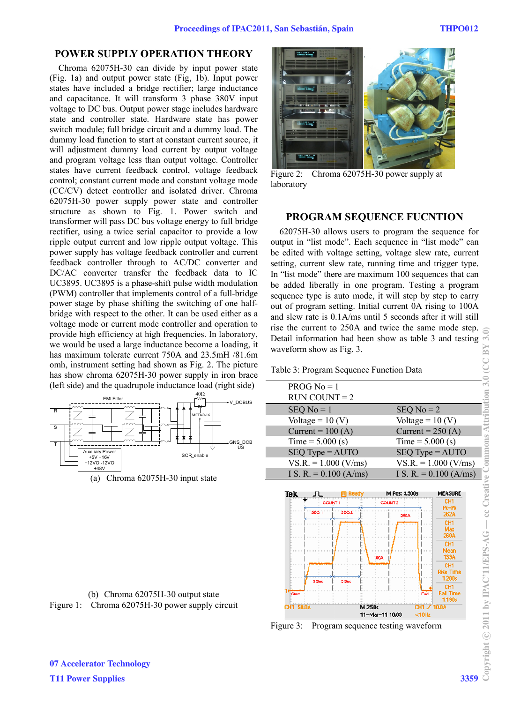## **POWER SUPPLY OPERATION THEORY**

Chroma 62075H-30 can divide by input power state (Fig. 1a) and output power state (Fig. 1b). Input power states have included a bridge rectifier; large inductance and capacitance. It will transform 3 phase 380V input voltage to DC bus. Output power stage includes hardware state and controller state. Hardware state has power switch module; full bridge circuit and a dummy load. The dummy load function to start at constant current source, it will adjustment dummy load current by output voltage and program voltage less than output voltage. Controller states have current feedback control, voltage feedback control; constant current mode and constant voltage mode (CC/CV) detect controller and isolated driver. Chroma 62075H-30 power supply power state and controller structure as shown to Fig. 1. Power switch and transformer will pass DC bus voltage energy to full bridge rectifier, using a twice serial capacitor to provide a low ripple output current and low ripple output voltage. This power supply has voltage feedback controller and current feedback controller through to AC/DC converter and DC/AC converter transfer the feedback data to IC UC3895. UC3895 is a phase-shift pulse width modulation (PWM) controller that implements control of a full-bridge power stage by phase shifting the switching of one halfbridge with respect to the other. It can be used either as a voltage mode or current mode controller and operation to provide high efficiency at high frequencies. In laboratory, we would be used a large inductance become a loading, it has maximum tolerate current 750A and 23.5mH /81.6m omh, instrument setting had shown as Fig. 2. The picture has show chroma 62075H-30 power supply in iron brace (left side) and the quadrupole inductance load (right side)



(a) Chroma 62075H-30 input state





Figure 2: Chroma 62075H-30 power supply at laboratory

## **PROGRAM SEQUENCE FUCNTION**

62075H-30 allows users to program the sequence for output in "list mode". Each sequence in "list mode" can be edited with voltage setting, voltage slew rate, current setting, current slew rate, running time and trigger type. In "list mode" there are maximum 100 sequences that can be added liberally in one program. Testing a program sequence type is auto mode, it will step by step to carry out of program setting. Initial current 0A rising to 100A and slew rate is 0.1A/ms until 5 seconds after it will still rise the current to 250A and twice the same mode step. Detail information had been show as table 3 and testing waveform show as Fig. 3.

Table 3: Program Sequence Function Data

| $PROG$ No = 1            |                          |
|--------------------------|--------------------------|
| $RUN COUNT = 2$          |                          |
| $SEQ$ No = 1             | $SEQ$ No = 2             |
| Voltage = $10 (V)$       | Voltage = $10 (V)$       |
| Current = $100(A)$       | Current = $250(A)$       |
| Time = $5.000$ (s)       | Time = $5.000$ (s)       |
| $SEQ$ Type = $AUTO$      | $SEQ$ Type = $AUTO$      |
| $VS.R. = 1.000 (V/ms)$   | $VS.R. = 1.000 (V/ms)$   |
| I S. R. = $0.100$ (A/ms) | I S. R. = $0.100$ (A/ms) |